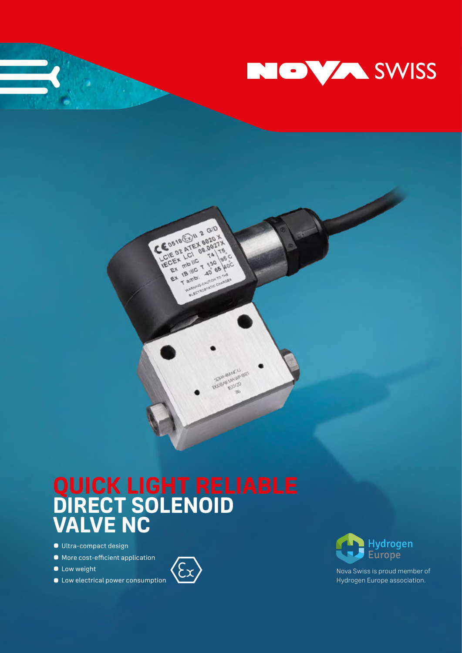

**September 2004** 

# **QUICK LIGHT RELIABLE DIRECT SOLENOID VALVE NC**

CEDE18 EDIV 2 GID ECENTRIC TASH

mb<sub>ilc</sub> THE TANK Tambiento Canadas

EX

 $64$ 

**00216** 

**DOGARIATO** 

NAMES CONTROLLED MAN

- **•** Ultra-compact design
- **•** More cost-efficient application
- **•** Low weight
- **•** Low electrical power consumption





Nova Swiss is proud member of Hydrogen Europe association.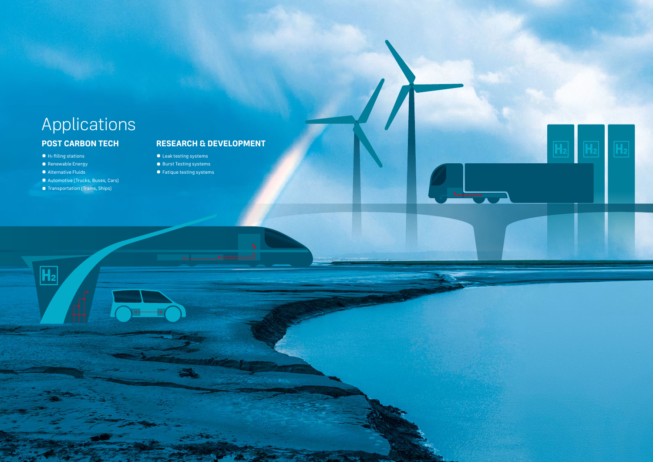## Applications **POST CARBON TECH**

- H<sub>2</sub> filling stations
- **•** Renewable Energy
- **•** Alternative Fluids

 $\overline{\mathbf{H_2}}$ 

- **•** Automotive (Trucks, Buses, Cars)
- **•** Transportation (Trains, Ships)

### **RESEARCH & DEVELOPMENT**

- **•** Leak testing systems
- **•** Burst Testing systems
- **•** Fatique testing systems